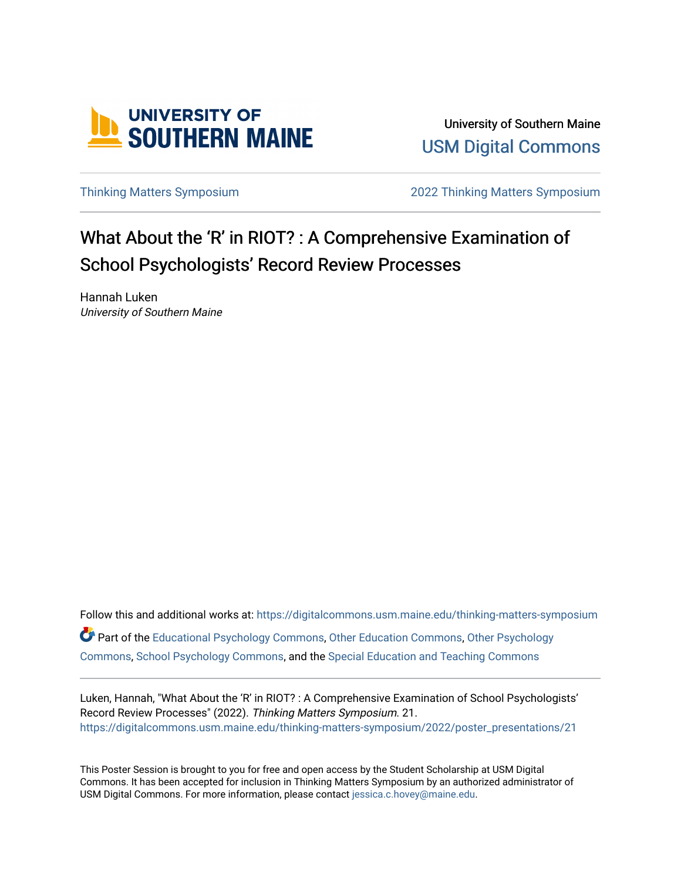

University of Southern Maine [USM Digital Commons](https://digitalcommons.usm.maine.edu/) 

[Thinking Matters Symposium](https://digitalcommons.usm.maine.edu/thinking-matters-symposium) [2022 Thinking Matters Symposium](https://digitalcommons.usm.maine.edu/thinking-matters-symposium/2022) 

#### What About the 'R' in RIOT? : A Comprehensive Examination of School Psychologists' Record Review Processes

Hannah Luken University of Southern Maine

Follow this and additional works at: [https://digitalcommons.usm.maine.edu/thinking-matters-symposium](https://digitalcommons.usm.maine.edu/thinking-matters-symposium?utm_source=digitalcommons.usm.maine.edu%2Fthinking-matters-symposium%2F2022%2Fposter_presentations%2F21&utm_medium=PDF&utm_campaign=PDFCoverPages)  Part of the [Educational Psychology Commons,](http://network.bepress.com/hgg/discipline/798?utm_source=digitalcommons.usm.maine.edu%2Fthinking-matters-symposium%2F2022%2Fposter_presentations%2F21&utm_medium=PDF&utm_campaign=PDFCoverPages) [Other Education Commons,](http://network.bepress.com/hgg/discipline/811?utm_source=digitalcommons.usm.maine.edu%2Fthinking-matters-symposium%2F2022%2Fposter_presentations%2F21&utm_medium=PDF&utm_campaign=PDFCoverPages) [Other Psychology](http://network.bepress.com/hgg/discipline/415?utm_source=digitalcommons.usm.maine.edu%2Fthinking-matters-symposium%2F2022%2Fposter_presentations%2F21&utm_medium=PDF&utm_campaign=PDFCoverPages)  [Commons](http://network.bepress.com/hgg/discipline/415?utm_source=digitalcommons.usm.maine.edu%2Fthinking-matters-symposium%2F2022%2Fposter_presentations%2F21&utm_medium=PDF&utm_campaign=PDFCoverPages), [School Psychology Commons](http://network.bepress.com/hgg/discipline/1072?utm_source=digitalcommons.usm.maine.edu%2Fthinking-matters-symposium%2F2022%2Fposter_presentations%2F21&utm_medium=PDF&utm_campaign=PDFCoverPages), and the [Special Education and Teaching Commons](http://network.bepress.com/hgg/discipline/801?utm_source=digitalcommons.usm.maine.edu%2Fthinking-matters-symposium%2F2022%2Fposter_presentations%2F21&utm_medium=PDF&utm_campaign=PDFCoverPages) 

Luken, Hannah, "What About the 'R' in RIOT? : A Comprehensive Examination of School Psychologists' Record Review Processes" (2022). Thinking Matters Symposium. 21. [https://digitalcommons.usm.maine.edu/thinking-matters-symposium/2022/poster\\_presentations/21](https://digitalcommons.usm.maine.edu/thinking-matters-symposium/2022/poster_presentations/21?utm_source=digitalcommons.usm.maine.edu%2Fthinking-matters-symposium%2F2022%2Fposter_presentations%2F21&utm_medium=PDF&utm_campaign=PDFCoverPages) 

This Poster Session is brought to you for free and open access by the Student Scholarship at USM Digital Commons. It has been accepted for inclusion in Thinking Matters Symposium by an authorized administrator of USM Digital Commons. For more information, please contact [jessica.c.hovey@maine.edu](mailto:ian.fowler@maine.edu).